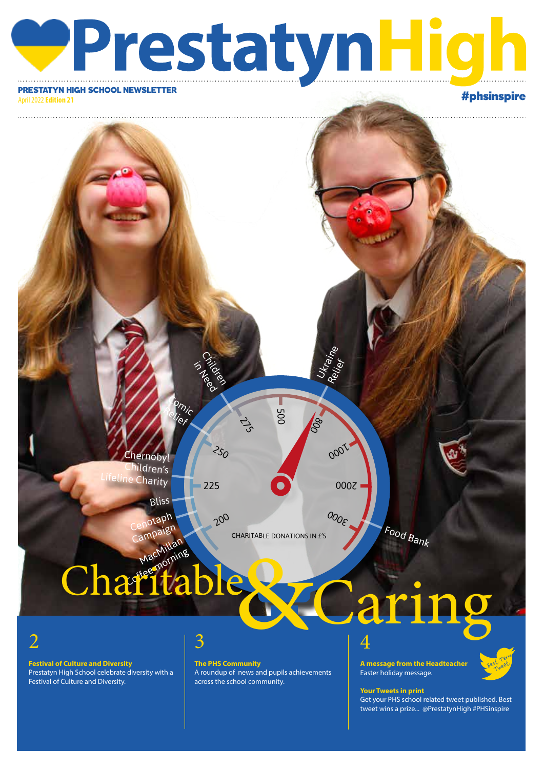# PrestatyN High School NEWSLETTER

April 2022 **Edition 21**

. . . . . . . . . . . . .

Chernobyl nildren's Ine Charity

> otaph Bliss

Comi Relief  $^\prime\!$ 

CHARITABLE DONATIONS IN £'S

500

Ukraine<br>Relief

0001

 $O_{O_{\mathcal{E}}}$ 

2000

80

# Food Bank

# MacMillan Charit Charitable & Caring

Campaign

2

**Festival of Culture and Diversity** Prestatyn High School celebrate diversity with a Festival of Culture and Diversity.

## 3

Childree in Need<br>Paga

 $200$ 

 $250$ 

 $\vec{c}$ 

225

**The PHS Community** A roundup of news and pupils achievements across the school community.

### 4 **A message from the Headteacher** Easter holiday message.



## **Your Tweets in print**

Get your PHS school related tweet published. Best tweet wins a prize... @PrestatynHigh #PHSinspire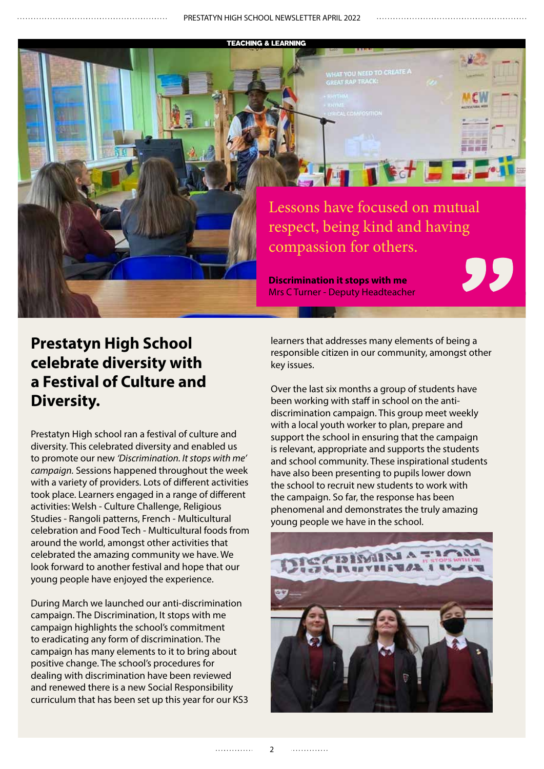#### TEACHING & LEARNING



## **Prestatyn High School celebrate diversity with a Festival of Culture and Diversity.**

Prestatyn High school ran a festival of culture and diversity. This celebrated diversity and enabled us to promote our new *'Discrimination. It stops with me' campaign.* Sessions happened throughout the week with a variety of providers. Lots of different activities took place. Learners engaged in a range of different activities: Welsh - Culture Challenge, Religious Studies - Rangoli patterns, French - Multicultural celebration and Food Tech - Multicultural foods from around the world, amongst other activities that celebrated the amazing community we have. We look forward to another festival and hope that our young people have enjoyed the experience.

During March we launched our anti-discrimination campaign. The Discrimination, It stops with me campaign highlights the school's commitment to eradicating any form of discrimination. The campaign has many elements to it to bring about positive change. The school's procedures for dealing with discrimination have been reviewed and renewed there is a new Social Responsibility curriculum that has been set up this year for our KS3 learners that addresses many elements of being a responsible citizen in our community, amongst other key issues.

Over the last six months a group of students have been working with staff in school on the antidiscrimination campaign. This group meet weekly with a local youth worker to plan, prepare and support the school in ensuring that the campaign is relevant, appropriate and supports the students and school community. These inspirational students have also been presenting to pupils lower down the school to recruit new students to work with the campaign. So far, the response has been phenomenal and demonstrates the truly amazing young people we have in the school.



. . . . . . . . . . . . .

. . . . . . . . . . . . .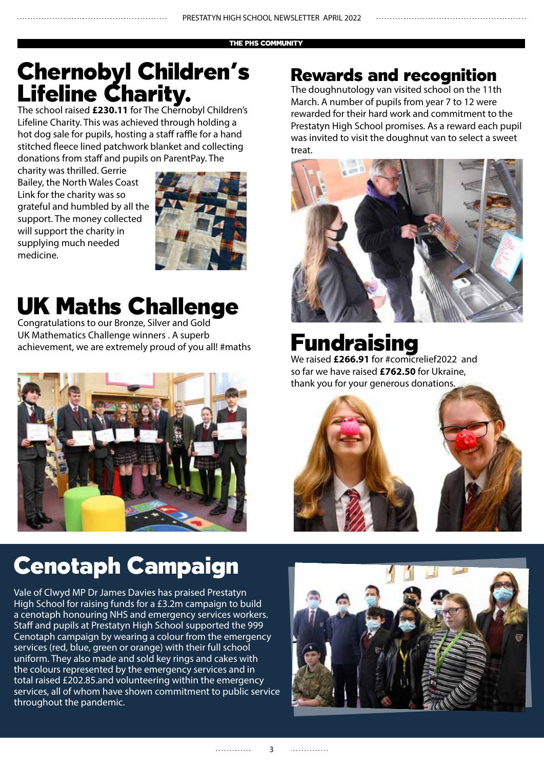#### THE PHS COMMUNITY

## Chernobyl Children's Lifeline Charity.

The school raised **£230.11** for The Chernobyl Children's Lifeline Charity. This was achieved through holding a hot dog sale for pupils, hosting a staff raffle for a hand stitched fleece lined patchwork blanket and collecting donations from staff and pupils on ParentPay. The

charity was thrilled. Gerrie Bailey, the North Wales Coast Link for the charity was so grateful and humbled by all the support. The money collected will support the charity in supplying much needed medicine.



## UK Maths Challenge

Congratulations to our Bronze, Silver and Gold UK Mathematics Challenge winners . A superb achievement, we are extremely proud of you all! #maths



# Cenotaph Campaign

Vale of Clwyd MP Dr James Davies has praised Prestatyn High School for raising funds for a £3.2m campaign to build a cenotaph honouring NHS and emergency services workers. Staff and pupils at Prestatyn High School supported the 999 Cenotaph campaign by wearing a colour from the emergency services (red, blue, green or orange) with their full school uniform. They also made and sold key rings and cakes with the colours represented by the emergency services and in total raised £202.85.and volunteering within the emergency services, all of whom have shown commitment to public service throughout the pandemic.

## Rewards and recognition

The doughnutology van visited school on the 11th March. A number of pupils from year 7 to 12 were rewarded for their hard work and commitment to the Prestatyn High School promises. As a reward each pupil was invited to visit the doughnut van to select a sweet treat.



# Fundraising

We raised **£266.91** for #comicrelief2022 and so far we have raised **£762.50** for Ukraine, thank you for your generous donations.